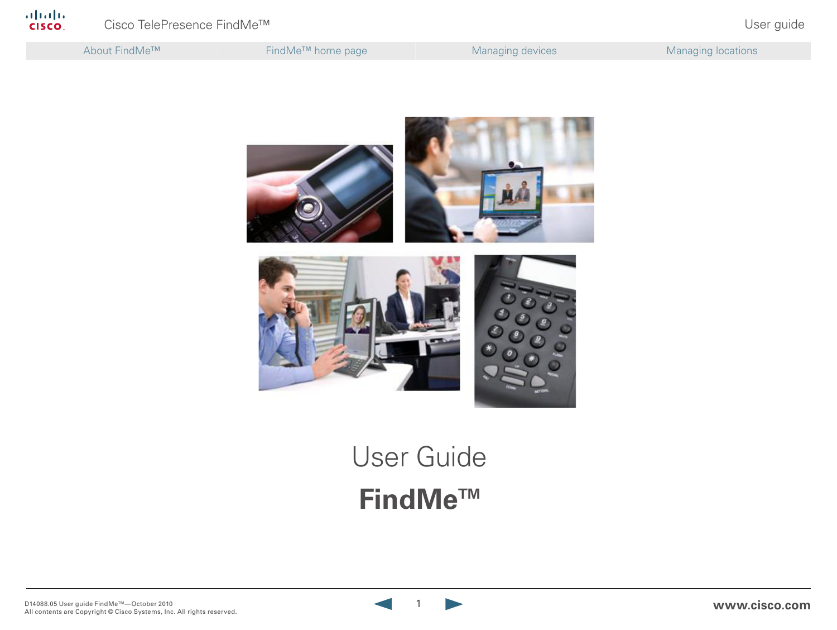

# **FindMe™** User Guide

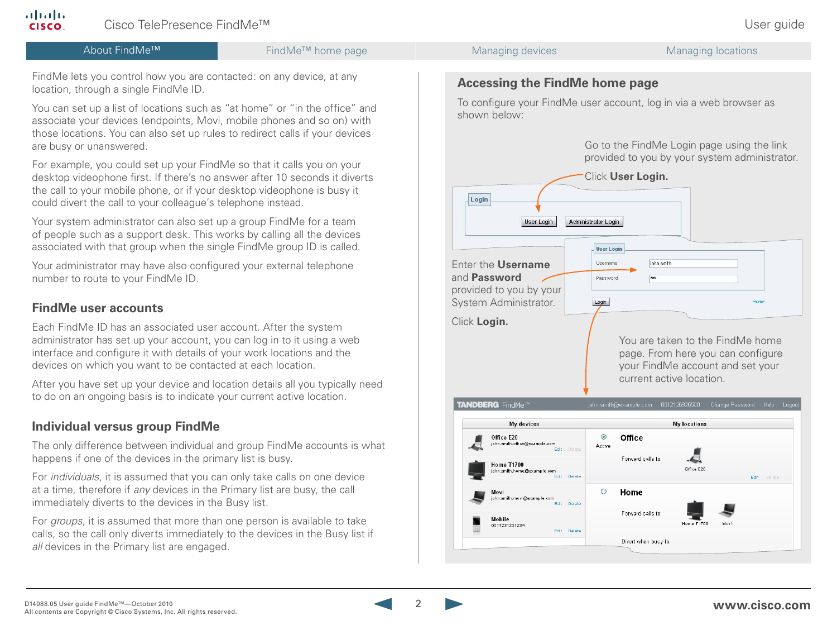

ahaha **CISCO**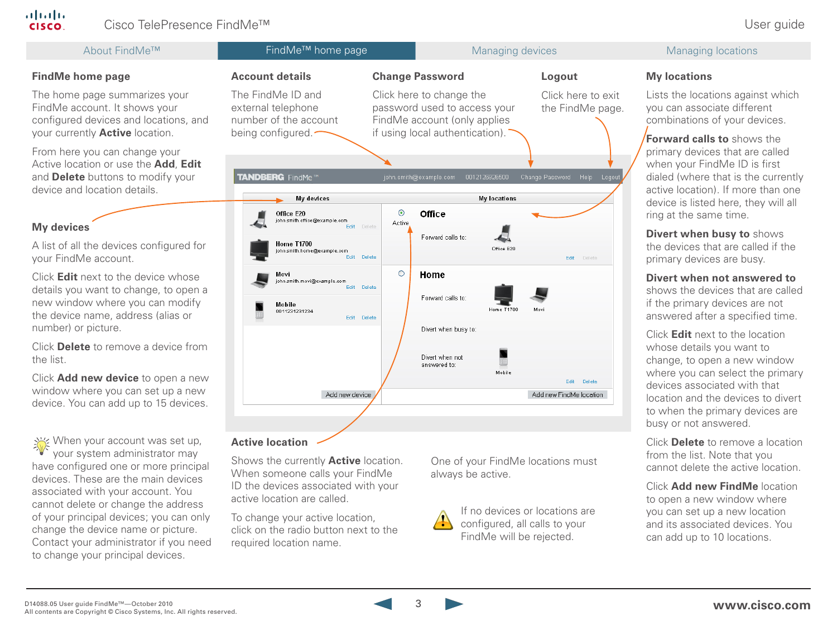

Click **Add new FindMe** location to open a new window where you can set up a new location and its associated devices. You can add up to 10 locations.

When someone calls your FindMe ID the devices associated with your active location are called.

To change your active location, click on the radio button next to the required location name.

always be active.



If no devices or locations are configured, all calls to your FindMe will be rejected.

associated with your account. You cannot delete or change the address of your principal devices; you can only change the device name or picture. Contact your administrator if you need to change your principal devices.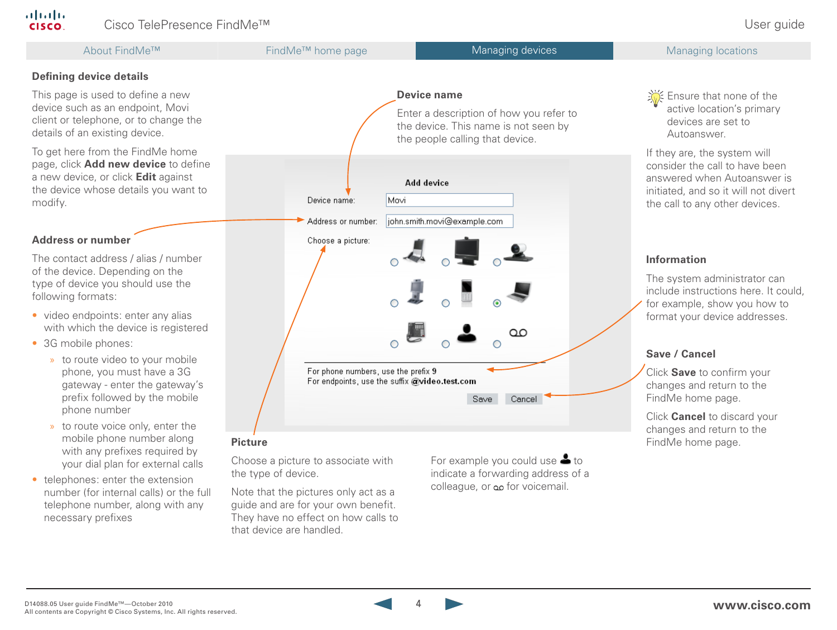About FindMe<sup>™</sup> FindMe<sup>™</sup> FindMe<sup>™</sup> home page Managing devices Managing devices Managing locations

## **Defining device details**

This page is used to define a new device such as an endpoint, Movi client or telephone, or to change the details of an existing device.

To get here from the FindMe home page, click **Add new device** to define a new device, or click **Edit** against the device whose details you want to modify.

## **Address or number**

The contact address / alias / number of the device. Depending on the type of device you should use the following formats:

- video endpoints: enter any alias with which the device is registered
- 3G mobile phones:
	- » to route video to your mobile phone, you must have a 3G gateway - enter the gateway's prefix followed by the mobile phone number
	- » to route voice only, enter the mobile phone number along with any prefixes required by your dial plan for external calls
- telephones: enter the extension number (for internal calls) or the full telephone number, along with any necessary prefixes



Choose a picture to associate with the type of device.

Note that the pictures only act as a guide and are for your own benefit. They have no effect on how calls to that device are handled.

For example you could use  $\triangle$  to indicate a forwarding address of a colleague, or مه for voicemail.

 $\frac{1}{200}$  Ensure that none of the active location's primary devices are set to Autoanswer.

If they are, the system will consider the call to have been answered when Autoanswer is initiated, and so it will not divert the call to any other devices.

## **Information**

The system administrator can include instructions here. It could, for example, show you how to format your device addresses.

## **Save / Cancel**

Click **Save** to confirm your changes and return to the FindMe home page.

Click **Cancel** to discard your changes and return to the **Picture FindMe home page. Picture FindMe home page. Picture FindMe home page.**